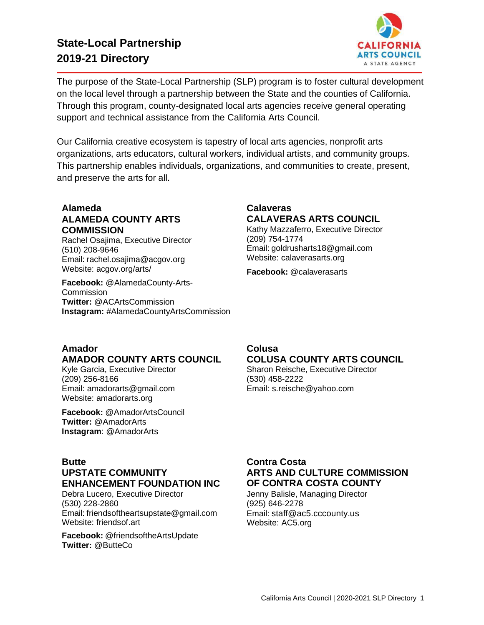## **State-Local Partnership 2019-21 Directory**



The purpose of the State-Local Partnership (SLP) program is to foster cultural development on the local level through a partnership between the State and the counties of California. Through this program, county-designated local arts agencies receive general operating support and technical assistance from the California Arts Council.

Our California creative ecosystem is tapestry of local arts agencies, nonprofit arts organizations, arts educators, cultural workers, individual artists, and community groups. This partnership enables individuals, organizations, and communities to create, present, and preserve the arts for all.

#### **Alameda ALAMEDA COUNTY ARTS COMMISSION**

Rachel Osajima, Executive Director (510) 208-9646 Email: [rachel.osajima@acgov.org](mailto:rachel.osajima@acgov.org) Website: acgov.org/arts/

**Facebook:** [@AlamedaCounty-Arts-](http://www.facebook.com/AlamedaCounty-Arts-)**Commission Twitter:** @ACArtsCommission **Instagram:** #AlamedaCountyArtsCommission

## **Calaveras CALAVERAS ARTS COUNCIL**

Kathy Mazzaferro, Executive Director (209) 754-1774 Email: [goldrusharts18@gmail.com](mailto:goldrusharts18@gmail.com) Website: calaverasarts.org

**Facebook:** @calaverasarts

#### **Amador AMADOR COUNTY ARTS COUNCIL**

Kyle Garcia, Executive Director (209) 256-8166 Email: [amadorarts@gmail.com](mailto:amadorarts@gmail.com) Website: amadorarts.org

**Facebook:** @AmadorArtsCouncil **Twitter:** @AmadorArts **Instagram**: @AmadorArts

#### **Colusa COLUSA COUNTY ARTS COUNCIL**

Sharon Reische, Executive Director (530) 458-2222 Email: [s.reische@yahoo.com](mailto:s.reische@yahoo.com)

#### **Butte UPSTATE COMMUNITY ENHANCEMENT FOUNDATION INC**

Debra Lucero, Executive Director (530) 228-2860 Email: [friendsoftheartsupstate@gmail.com](mailto:friendsoftheartsupstate@gmail.com) Website: friendsof.art

**Facebook:** @friendsoftheArtsUpdate **Twitter:** @ButteCo

#### **Contra Costa ARTS AND CULTURE COMMISSION OF CONTRA COSTA COUNTY**

Jenny Balisle, Managing Director (925) 646-2278 Email: staff@ac5.cccounty.us Website: AC5.org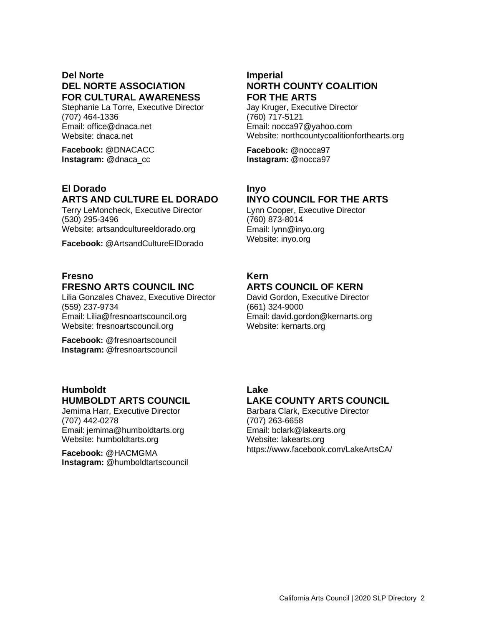### **Del Norte DEL NORTE ASSOCIATION FOR CULTURAL AWARENESS**

Stephanie La Torre, Executive Director (707) 464-1336 Email: [office@dnaca.net](mailto:office@dnaca.net) Website: dnaca.net

**Facebook:** @DNACACC **Instagram:** @dnaca\_cc

## **El Dorado ARTS AND CULTURE EL DORADO**

Terry LeMoncheck, Executive Director (530) 295-3496 Website: artsandcultureeldorado.org

**Facebook:** @ArtsandCultureElDorado

#### **Fresno FRESNO ARTS COUNCIL INC**

Lilia Gonzales Chavez, Executive Director (559) 237-9734 Email: [Lilia@fresnoartscouncil.org](mailto:Lilia@fresnoartscouncil.org) Website: fresnoartscouncil.org

**Facebook:** @fresnoartscouncil **Instagram:** @fresnoartscouncil

#### **Humboldt HUMBOLDT ARTS COUNCIL**

Jemima Harr, Executive Director (707) 442-0278 Email: [jemima@humboldtarts.org](mailto:jemima@humboldtarts.org) Website: humboldtarts.org

**Facebook:** @HACMGMA **Instagram:** @humboldtartscouncil

### **Imperial NORTH COUNTY COALITION FOR THE ARTS**

Jay Kruger, Executive Director (760) 717-5121 Email: [nocca97@yahoo.com](mailto:nocca97@yahoo.com) Website: northcountycoalitionforthearts.org

**Facebook:** @nocca97 **Instagram:** @nocca97

### **Inyo**

## **INYO COUNCIL FOR THE ARTS**

Lynn Cooper, Executive Director (760) 873-8014 Email[: lynn@inyo.org](mailto:lynn@inyo.org) Website: inyo.org

# **Kern**

**ARTS COUNCIL OF KERN** David Gordon, Executive Director

(661) 324-9000 Email: [david.gordon@kernarts.org](mailto:david.gordon@kernarts.org) Website: kernarts.org

## **Lake**

## **LAKE COUNTY ARTS COUNCIL**

Barbara Clark, Executive Director (707) 263-6658 Email[: bclark@lakearts.org](mailto:bclark@lakearts.org) Website: lakearts.org https:/[/www.facebook.com/LakeArtsCA/](http://www.facebook.com/LakeArtsCA/)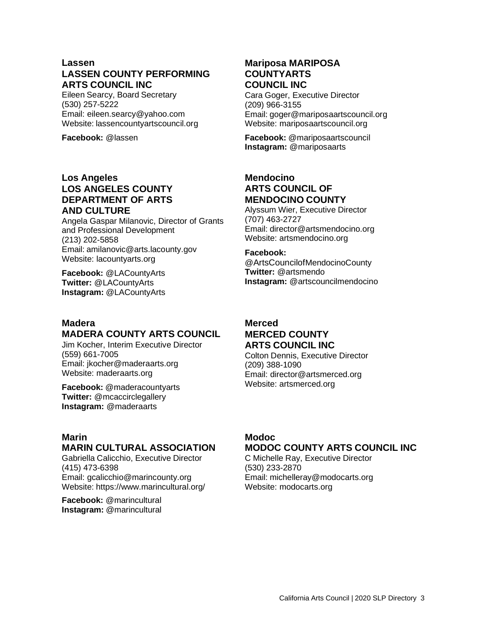#### **Lassen LASSEN COUNTY PERFORMING ARTS COUNCIL INC**

Eileen Searcy, Board Secretary (530) 257-5222 Email: [eileen.searcy@yahoo.com](mailto:eileen.searcy@yahoo.com) Website: lassencountyartscouncil.org

**Facebook:** @lassen

#### **Los Angeles LOS ANGELES COUNTY DEPARTMENT OF ARTS AND CULTURE**

Angela Gaspar Milanovic, Director of Grants and Professional Development (213) 202-5858 Email: [amilanovic@arts.lacounty.gov](mailto:amilanovic@arts.lacounty.gov) Website: lacountyarts.org

**Facebook:** @LACountyArts **Twitter:** @LACountyArts **Instagram:** @LACountyArts

#### **Madera MADERA COUNTY ARTS COUNCIL**

Jim Kocher, Interim Executive Director (559) 661-7005 Email: [jkocher@maderaarts.org](mailto:jkocher@maderaarts.org) Website: maderaarts.org

**Facebook:** @maderacountyarts **Twitter:** @mcaccirclegallery **Instagram:** @maderaarts

### **Marin**

## **MARIN CULTURAL ASSOCIATION**

Gabriella Calicchio, Executive Director (415) 473-6398 Email: [gcalicchio@marincounty.org](mailto:gcalicchio@marincounty.org) Website: https:/[/www.marincultural.org/](http://www.marincultural.org/)

**Facebook:** @marincultural **Instagram:** @marincultural

#### **Mariposa MARIPOSA COUNTYARTS COUNCIL INC**

Cara Goger, Executive Director (209) 966-3155 Email: [goger@mariposaartscouncil.org](mailto:goger@mariposaartscouncil.org) Website: mariposaartscouncil.org

**Facebook:** @mariposaartscouncil **Instagram:** @mariposaarts

#### **Mendocino ARTS COUNCIL OF MENDOCINO COUNTY**

Alyssum Wier, Executive Director (707) 463-2727 Email: [director@artsmendocino.org](mailto:director@artsmendocino.org) Website: artsmendocino.org

#### **Facebook:**

@ArtsCouncilofMendocinoCounty **Twitter:** @artsmendo **Instagram:** @artscouncilmendocino

#### **Merced MERCED COUNTY ARTS COUNCIL INC**

Colton Dennis, Executive Director (209) 388-1090 Email: [director@artsmerced.org](mailto:director@artsmerced.org) Website: artsmerced.org

## **Modoc**

#### **MODOC COUNTY ARTS COUNCIL INC**

C Michelle Ray, Executive Director (530) 233-2870 Email: [michelleray@modocarts.org](mailto:michelleray@modocarts.org) Website: modocarts.org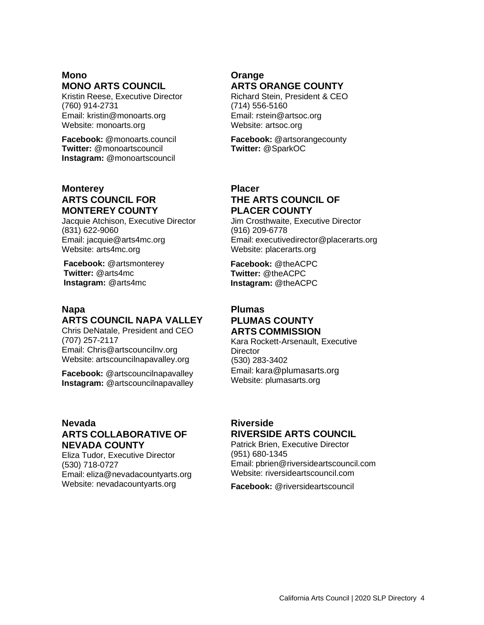## **Mono MONO ARTS COUNCIL**

Kristin Reese, Executive Director (760) 914-2731 Email: [kristin@monoarts.org](mailto:kristin@monoarts.org) Website: monoarts.org

**Facebook:** @monoarts.council **Twitter:** @monoartscouncil **Instagram:** @monoartscouncil

### **Monterey ARTS COUNCIL FOR MONTEREY COUNTY**

Jacquie Atchison, Executive Director (831) 622-9060 Email: [jacquie@arts4mc.org](mailto:jacquie@arts4mc.org) Website: arts4mc.org

**Facebook:** @artsmonterey **Twitter:** @arts4mc **Instagram:** @arts4mc

#### **Napa ARTS COUNCIL NAPA VALLEY**

Chris DeNatale, President and CEO (707) 257-2117 Email: [Chris@artscouncilnv.org](mailto:Chris@artscouncilnv.org) Website: artscouncilnapavalley.org

**Facebook:** @artscouncilnapavalley **Instagram:** @artscouncilnapavalley

#### **Nevada ARTS COLLABORATIVE OF NEVADA COUNTY**

Eliza Tudor, Executive Director (530) 718-0727 Email: [eliza@nevadacountyarts.org](mailto:eliza@nevadacountyarts.org) Website: nevadacountyarts.org

### **Orange ARTS ORANGE COUNTY**

Richard Stein, President & CEO (714) 556-5160 Email[: rstein@artsoc.org](mailto:rstein@artsoc.org) Website: artsoc.org

**Facebook:** @artsorangecounty **Twitter:** @SparkOC

#### **Placer THE ARTS COUNCIL OF PLACER COUNTY**

Jim Crosthwaite, Executive Director (916) 209-6778 Email: [executivedirector@placerarts.org](mailto:executivedirector@placerarts.org) Website: placerarts.org

**Facebook:** @theACPC **Twitter:** @theACPC **Instagram:** @theACPC

#### **Plumas PLUMAS COUNTY ARTS COMMISSION**

Kara Rockett-Arsenault, Executive **Director** (530) 283-3402 Email: kara@plumasarts.org Website: plumasarts.org

### **Riverside RIVERSIDE ARTS COUNCIL**

Patrick Brien, Executive Director (951) 680-1345 Email: [pbrien@riversideartscouncil.com](mailto:pbrien@riversideartscouncil.com) Website: riversideartscouncil.com

**Facebook:** @riversideartscouncil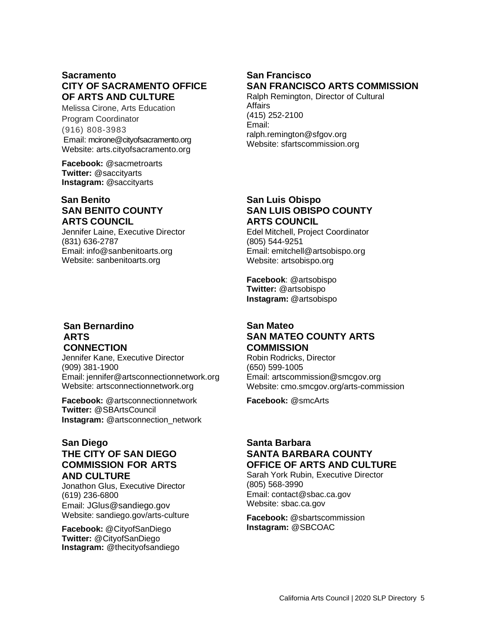### **Sacramento CITY OF SACRAMENTO OFFICE OF ARTS AND CULTURE**

Melissa Cirone, Arts Education Program Coordinator (916) 808-3983 Email: mcirone@cityofsacramento.org Website: arts.cityofsacramento.org

**Facebook:** @sacmetroarts **Twitter:** @saccityarts **Instagram:** @saccityarts

#### **San Benito SAN BENITO COUNTY ARTS COUNCIL**

Jennifer Laine, Executive Director (831) 636-2787 Email: [info@sanbenitoarts.org](mailto:info@sanbenitoarts.org) Website: sanbenitoarts.org

#### **San Bernardino ARTS CONNECTION**

Jennifer Kane, Executive Director (909) 381-1900 Email: [jennifer@artsconnectionnetwork.org](mailto:jennifer@artsconnectionnetwork.org) Website: artsconnectionnetwork.org

**Facebook:** @artsconnectionnetwork **Twitter:** @SBArtsCouncil **Instagram:** @artsconnection\_network

#### **San Diego THE CITY OF SAN DIEGO COMMISSION FOR ARTS AND CULTURE**

Jonathon Glus, Executive Director (619) 236-6800 Email: JGlus@sandiego.gov Website: sandiego.gov/arts-culture

**Facebook:** @CityofSanDiego **Twitter:** @CityofSanDiego **Instagram:** @thecityofsandiego

## **San Francisco SAN FRANCISCO ARTS COMMISSION**

Ralph Remington, Director of Cultural Affairs (415) 252-2100 Email: ralph.remington@sfgov.org Website: sfartscommission.org

### **San Luis Obispo SAN LUIS OBISPO COUNTY ARTS COUNCIL**

Edel Mitchell, Project Coordinator (805) 544-9251 Email: [emitchell@artsobispo.org](mailto:emitchell@artsobispo.org) Website: artsobispo.org

**Facebook**: @artsobispo **Twitter:** @artsobispo **Instagram:** @artsobispo

### **San Mateo SAN MATEO COUNTY ARTS COMMISSION**

Robin Rodricks, Director (650) 599-1005 Email: [artscommission@smcgov.org](mailto:artscommission@smcgov.org) Website: cmo.smcgov.org/arts-commission

**Facebook:** @smcArts

#### **Santa Barbara SANTA BARBARA COUNTY OFFICE OF ARTS AND CULTURE**

Sarah York Rubin, Executive Director (805) 568-3990 Email: [contact@sbac.ca.gov](mailto:contact@sbac.ca.gov) Website: sbac.ca.gov

**Facebook:** @sbartscommission **Instagram:** @SBCOAC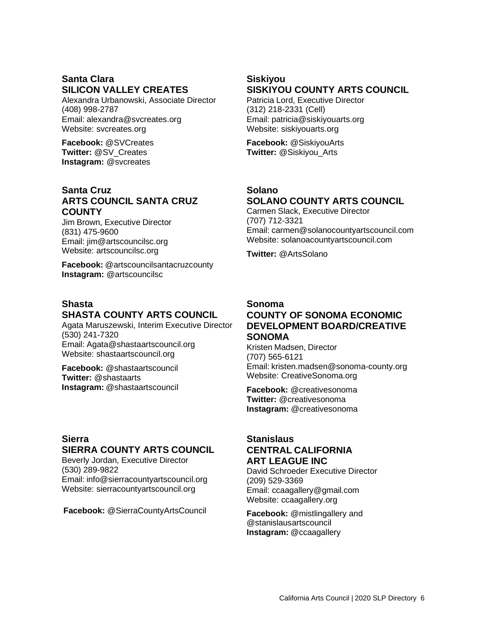#### **Santa Clara SILICON VALLEY CREATES**

Alexandra Urbanowski, Associate Director (408) 998-2787 Email: [alexandra@svcreates.org](mailto:alexandra@svcreates.org) Website: svcreates.org

**Facebook:** @SVCreates **Twitter:** @SV\_Creates **Instagram:** @svcreates

#### **Santa Cruz ARTS COUNCIL SANTA CRUZ COUNTY**

Jim Brown, Executive Director (831) 475-9600 Email: [jim@artscouncilsc.org](mailto:jim@artscouncilsc.org) Website: artscouncilsc.org

**Facebook:** @artscouncilsantacruzcounty **Instagram:** @artscouncilsc

#### **Shasta SHASTA COUNTY ARTS COUNCIL**

Agata Maruszewski, Interim Executive Director (530) 241-7320 Email: [Agata@shastaartscouncil.org](mailto:Agata@shastaartscouncil.org) Website: shastaartscouncil.org

**Facebook:** @shastaartscouncil **Twitter:** @shastaarts **Instagram:** @shastaartscouncil

#### **Sierra SIERRA COUNTY ARTS COUNCIL**

Beverly Jordan, Executive Director (530) 289-9822 Email: [info@sierracountyartscouncil.org](mailto:info@sierracountyartscouncil.org) Website: sierracountyartscouncil.org

**Facebook:** @SierraCountyArtsCouncil

## **Siskiyou SISKIYOU COUNTY ARTS COUNCIL**

Patricia Lord, Executive Director (312) 218-2331 (Cell) Email: [patricia@siskiyouarts.org](mailto:patricia@siskiyouarts.org) Website: siskiyouarts.org

**Facebook:** @SiskiyouArts **Twitter:** @Siskiyou\_Arts

## **Solano SOLANO COUNTY ARTS COUNCIL**

Carmen Slack, Executive Director (707) 712-3321 Email: [carmen@solanocountyartscouncil.com](mailto:carmen@solanocountyartscouncil.com) Website: solanoacountyartscouncil.com

**Twitter:** @ArtsSolano

#### **Sonoma COUNTY OF SONOMA ECONOMIC DEVELOPMENT BOARD/CREATIVE SONOMA**

Kristen Madsen, Director (707) 565-6121 Email: [kristen.madsen@sonoma-county.org](mailto:kristen.madsen@sonoma-county.org) Website: CreativeSonoma.org

**Facebook:** @creativesonoma **Twitter:** @creativesonoma **Instagram:** @creativesonoma

#### **Stanislaus CENTRAL CALIFORNIA ART LEAGUE INC**

David Schroeder Executive Director (209) 529-3369 Email: ccaagallery@gmail.com Website: ccaagallery.org

**Facebook:** @mistlingallery and @stanislausartscouncil **Instagram:** @ccaagallery